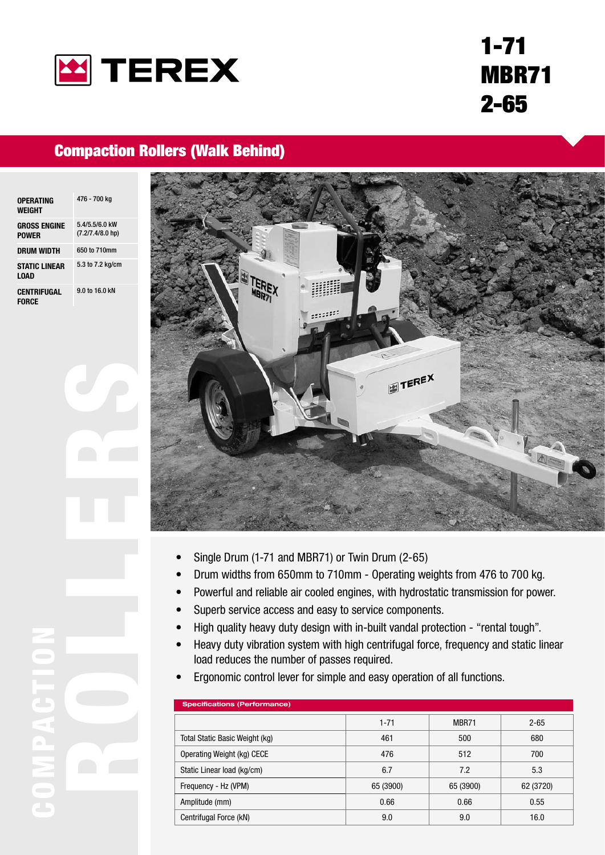

# 1-71 MBR71 2-65

### Compaction Rollers (Walk Behind)

| OPERATING<br>WEIGHT                 | 476 - 700 kg                            |
|-------------------------------------|-----------------------------------------|
| <b>GROSS ENGINE</b><br><b>POWER</b> | $5.4/5.5/6.0$ kW<br>$(7.2/7.4/8.0)$ hp) |
| DRUM WIDTH                          | 650 to 710mm                            |
| <b>STATIC LINEAR</b><br><b>LOAD</b> | 5.3 to 7.2 kg/cm                        |
| CENTRIFUGAL<br><b>FORCE</b>         | 9.0 to 16.0 kN                          |



- Single Drum (1-71 and MBR71) or Twin Drum (2-65) •
- Drum widths from 650mm to 710mm Operating weights from 476 to 700 kg. •
- Powerful and reliable air cooled engines, with hydrostatic transmission for power. •
- Superb service access and easy to service components. •
- High quality heavy duty design with in-built vandal protection "rental tough". •
- Heavy duty vibration system with high centrifugal force, frequency and static linear load reduces the number of passes required. •
- Ergonomic control lever for simple and easy operation of all functions. •

| <b>Specifications (Performance)</b> |           |           |  |  |
|-------------------------------------|-----------|-----------|--|--|
| $1 - 71$                            | MBR71     | $2 - 65$  |  |  |
| 461                                 | 500       | 680       |  |  |
| 476                                 | 512       | 700       |  |  |
| 6.7                                 | 7.2       | 5.3       |  |  |
| 65 (3900)                           | 65 (3900) | 62 (3720) |  |  |
| 0.66                                | 0.66      | 0.55      |  |  |
| 9.0                                 | 9.0       | 16.0      |  |  |
|                                     |           |           |  |  |

ROLL ERS COMPACTION  $\mathbf{a}$  $\overline{\phantom{a}}$